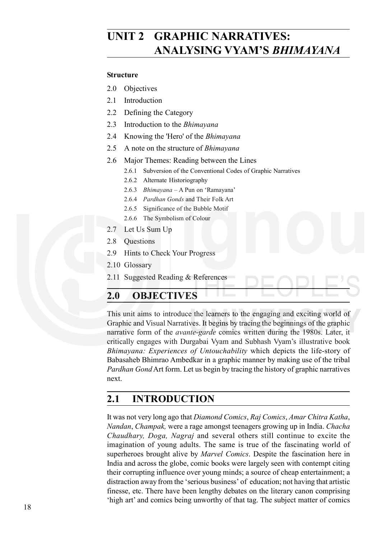# **UNIT 2 GRAPHIC NARRATIVES: ANALYSING VYAM'S** *BHIMAYANA*

#### **Structure**

- 2.0 Objectives
- 2.1 Introduction
- 2.2 Defining the Category
- 2.3 Introduction to the *Bhimayana*
- 2.4 Knowing the 'Hero' of the *Bhimayana*
- 2.5 A note on the structure of *Bhimayana*
- 2.6 Major Themes: Reading between the Lines
	- 2.6.1 Subversion of the Conventional Codes of Graphic Narratives
	- 2.6.2 Alternate Historiography
	- 2.6.3 *Bhimayana* A Pun on 'Ramayana'
	- 2.6.4 *Pardhan Gonds* and Their Folk Art
	- 2.6.5 Significance of the Bubble Motif
	- 2.6.6 The Symbolism of Colour
- 2.7 Let Us Sum Up
- 2.8 Questions
- 2.9 Hints to Check Your Progress
- 2.10 Glossary
- 2.11 Suggested Reading & References

## **2.0 OBJECTIVES**

This unit aims to introduce the learners to the engaging and exciting world of Graphic and Visual Narratives. It begins by tracing the beginnings of the graphic narrative form of the *avante-garde* comics written during the 1980s. Later, it critically engages with Durgabai Vyam and Subhash Vyam's illustrative book *Bhimayana: Experiences of Untouchability* which depicts the life-story of Babasaheb Bhimrao Ambedkar in a graphic manner by making use of the tribal *Pardhan Gond* Art form. Let us begin by tracing the history of graphic narratives next.

## **2.1 INTRODUCTION**

It was not very long ago that *Diamond Comics*, *Raj Comics*, *Amar Chitra Katha*, *Nandan*, *Champak,* were a rage amongst teenagers growing up in India. *Chacha Chaudhary, Doga, Nagraj* and several others still continue to excite the imagination of young adults. The same is true of the fascinating world of superheroes brought alive by *Marvel Comics*. Despite the fascination here in India and across the globe, comic books were largely seen with contempt citing their corrupting influence over young minds; a source of cheap entertainment; a distraction away from the 'serious business' of education; not having that artistic finesse, etc. There have been lengthy debates on the literary canon comprising 'high art' and comics being unworthy of that tag. The subject matter of comics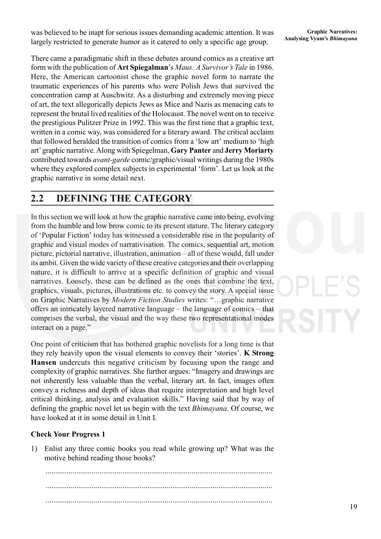Was believed to be inapt for serious issues demanding academic attention. It was *Analysing Vyam's Bhimayana* largely restricted to concrete hymner as it extend to only a specific ago group. **Analysing Vyam's Bhimayana** largely restricted to generate humor as it catered to only a specific age group.

There came a paradigmatic shift in these debates around comics as a creative art form with the publication of **Art Spiegalman**'s *Maus: A Survivor's Tale* in 1986. Here, the American cartoonist chose the graphic novel form to narrate the traumatic experiences of his parents who were Polish Jews that survived the concentration camp at Auschwitz. As a disturbing and extremely moving piece of art, the text allegorically depicts Jews as Mice and Nazis as menacing cats to represent the brutal lived realities of the Holocaust. The novel went on to receive the prestigious Pulitzer Prize in 1992. This was the first time that a graphic text, written in a comic way, was considered for a literary award. The critical acclaim that followed heralded the transition of comics from a 'low art' medium to 'high art' graphic narrative. Along with Spiegelman, **Gary Panter** and **Jerry Moriarty** contributed towards *avant-garde* comic/graphic/visual writings during the 1980s where they explored complex subjects in experimental 'form'. Let us look at the graphic narrative in some detail next.

## **2.2 DEFINING THE CATEGORY**

In this section we will look at how the graphic narrative came into being, evolving from the humble and low brow comic to its present stature. The literary category of 'Popular Fiction' today has witnessed a considerable rise in the popularity of graphic and visual modes of narrativisation. The comics, sequential art, motion picture, pictorial narrative, illustration, animation – all of these would, fall under its ambit. Given the wide variety of these creative categories and their overlapping nature, it is difficult to arrive at a specific definition of graphic and visual narratives. Loosely, these can be defined as the ones that combine the text, graphics, visuals, pictures, illustrations etc. to convey the story. A special issue on Graphic Narratives by *Modern Fiction Studies* writes: "…graphic narrative offers an intricately layered narrative language – the language of comics – that comprises the verbal, the visual and the way these two representational modes interact on a page."

One point of criticism that has bothered graphic novelists for a long time is that they rely heavily upon the visual elements to convey their 'stories'. **K Strong Hansen** undercuts this negative criticism by focusing upon the range and complexity of graphic narratives. She further argues: "Imagery and drawings are not inherently less valuable than the verbal, literary art. In fact, images often convey a richness and depth of ideas that require interpretation and high level critical thinking, analysis and evaluation skills." Having said that by way of defining the graphic novel let us begin with the text *Bhimayana*. Of course, we have looked at it in some detail in Unit I.

#### **Check Your Progress 1**

1) Enlist any three comic books you read while growing up? What was the motive behind reading those books?

...................................................................................................................... ...................................................................................................................... ......................................................................................................................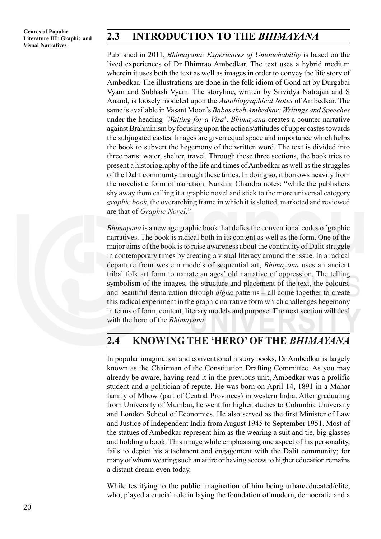## **2.3 INTRODUCTION TO THE** *BHIMAYANA*

Published in 2011, *Bhimayana: Experiences of Untouchability* is based on the lived experiences of Dr Bhimrao Ambedkar. The text uses a hybrid medium wherein it uses both the text as well as images in order to convey the life story of Ambedkar. The illustrations are done in the folk idiom of Gond art by Durgabai Vyam and Subhash Vyam. The storyline, written by Srividya Natrajan and S Anand, is loosely modeled upon the *Autobiographical Notes* of Ambedkar. The same is available in Vasant Moon's *Babasaheb Ambedkar: Writings and Speeches* under the heading *'Waiting for a Visa*'. *Bhimayana* creates a counter-narrative against Brahminism by focusing upon the actions/attitudes of upper castes towards the subjugated castes. Images are given equal space and importance which helps the book to subvert the hegemony of the written word. The text is divided into three parts: water, shelter, travel. Through these three sections, the book tries to present a historiography of the life and times of Ambedkar as well as the struggles of the Dalit community through these times. In doing so, it borrows heavily from the novelistic form of narration. Nandini Chandra notes: "while the publishers shy away from calling it a graphic novel and stick to the more universal category *graphic book*, the overarching frame in which it is slotted, marketed and reviewed are that of *Graphic Novel*."

*Bhimayana* is a new age graphic book that defies the conventional codes of graphic narratives. The book is radical both in its content as well as the form. One of the major aims of the book is to raise awareness about the continuity of Dalit struggle in contemporary times by creating a visual literacy around the issue. In a radical departure from western models of sequential art, *Bhimayana* uses an ancient tribal folk art form to narrate an ages' old narrative of oppression. The telling symbolism of the images, the structure and placement of the text, the colours, and beautiful demarcation through *digna* patterns – all come together to create this radical experiment in the graphic narrative form which challenges hegemony in terms of form, content, literary models and purpose. The next section will deal with the hero of the *Bhimayana*.

## **2.4 KNOWING THE 'HERO' OF THE** *BHIMAYANA*

In popular imagination and conventional history books, Dr Ambedkar is largely known as the Chairman of the Constitution Drafting Committee. As you may already be aware, having read it in the previous unit, Ambedkar was a prolific student and a politician of repute. He was born on April 14, 1891 in a Mahar family of Mhow (part of Central Provinces) in western India. After graduating from University of Mumbai, he went for higher studies to Columbia University and London School of Economics. He also served as the first Minister of Law and Justice of Independent India from August 1945 to September 1951. Most of the statues of Ambedkar represent him as the wearing a suit and tie, big glasses and holding a book. This image while emphasising one aspect of his personality, fails to depict his attachment and engagement with the Dalit community; for many of whom wearing such an attire or having access to higher education remains a distant dream even today.

While testifying to the public imagination of him being urban/educated/elite, who, played a crucial role in laying the foundation of modern, democratic and a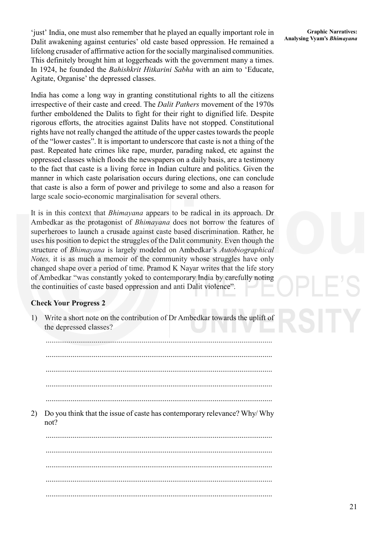<sup>4</sup> 'just' India, one must also remember that he played an equally important role in Graphic Narratives:<br>
Delit explication against conturies' old gaste based engression. He remained a <sup>Analysing Vyam's *Bhimayana*</sup> Dalit awakening against centuries' old caste based oppression. He remained a lifelong crusader of affirmative action for the socially marginalised communities. This definitely brought him at loggerheads with the government many a times. In 1924, he founded the *Bahishkrit Hitkarini Sabha* with an aim to 'Educate, Agitate, Organise' the depressed classes.

India has come a long way in granting constitutional rights to all the citizens irrespective of their caste and creed. The *Dalit Pathers* movement of the 1970s further emboldened the Dalits to fight for their right to dignified life. Despite rigorous efforts, the atrocities against Dalits have not stopped. Constitutional rights have not really changed the attitude of the upper castes towards the people of the "lower castes". It is important to underscore that caste is not a thing of the past. Repeated hate crimes like rape, murder, parading naked, etc against the oppressed classes which floods the newspapers on a daily basis, are a testimony to the fact that caste is a living force in Indian culture and politics. Given the manner in which caste polarisation occurs during elections, one can conclude that caste is also a form of power and privilege to some and also a reason for large scale socio-economic marginalisation for several others.

It is in this context that *Bhimayana* appears to be radical in its approach. Dr Ambedkar as the protagonist of *Bhimayana* does not borrow the features of superheroes to launch a crusade against caste based discrimination. Rather, he uses his position to depict the struggles of the Dalit community. Even though the structure of *Bhimayana* is largely modeled on Ambedkar's *Autobiographical Notes,* it is as much a memoir of the community whose struggles have only changed shape over a period of time. Pramod K Nayar writes that the life story of Ambedkar "was constantly yoked to contemporary India by carefully noting the continuities of caste based oppression and anti Dalit violence".

#### **Check Your Progress 2**

1) Write a short note on the contribution of Dr Ambedkar towards the uplift of the depressed classes?

...................................................................................................................... ...................................................................................................................... ...................................................................................................................... ......................................................................................................................

......................................................................................................................

2) Do you think that the issue of caste has contemporary relevance? Why/ Why not?

...................................................................................................................... ...................................................................................................................... ...................................................................................................................... ...................................................................................................................... ......................................................................................................................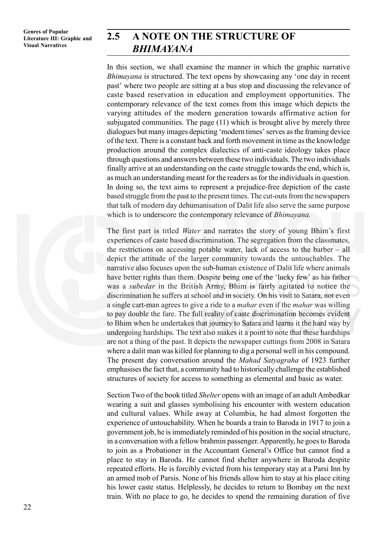## **2.5 A NOTE ON THE STRUCTURE OF** *BHIMAYANA*

In this section, we shall examine the manner in which the graphic narrative *Bhimayana* is structured. The text opens by showcasing any 'one day in recent past' where two people are sitting at a bus stop and discussing the relevance of caste based reservation in education and employment opportunities. The contemporary relevance of the text comes from this image which depicts the varying attitudes of the modern generation towards affirmative action for subjugated communities. The page (11) which is brought alive by merely three dialogues but many images depicting 'modern times' serves as the framing device of the text. There is a constant back and forth movement in time as the knowledge production around the complex dialectics of anti-caste ideology takes place through questions and answers between these two individuals. The two individuals finally arrive at an understanding on the caste struggle towards the end, which is, as much an understanding meant for the readers as for the individuals in question. In doing so, the text aims to represent a prejudice-free depiction of the caste based struggle from the past to the present times. The cut-outs from the newspapers that talk of modern day dehumanisation of Dalit life also serve the same purpose which is to underscore the contemporary relevance of *Bhimayana.*

The first part is titled *Water* and narrates the story of young Bhim's first experiences of caste based discrimination. The segregation from the classmates, the restrictions on accessing potable water, lack of access to the barber – all depict the attitude of the larger community towards the untouchables. The narrative also focuses upon the sub-human existence of Dalit life where animals have better rights than them. Despite being one of the 'lucky few' as his father was a *subedar* in the British Army, Bhim is fairly agitated to notice the discrimination he suffers at school and in society. On his visit to Satara, not even a single cart-man agrees to give a ride to a *mahar* even if the *mahar* was willing to pay double the fare. The full reality of caste discrimination becomes evident to Bhim when he undertakes that journey to Satara and learns it the hard way by undergoing hardships. The text also makes it a point to note that these hardships are not a thing of the past. It depicts the newspaper cuttings from 2008 in Satara where a dalit man was killed for planning to dig a personal well in his compound. The present day conversation around the *Mahad Satyagraha* of 1923 further emphasises the fact that, a community had to historically challenge the established structures of society for access to something as elemental and basic as water.

Section Two of the book titled *Shelter* opens with an image of an adult Ambedkar wearing a suit and glasses symbolising his encounter with western education and cultural values. While away at Columbia, he had almost forgotten the experience of untouchability. When he boards a train to Baroda in 1917 to join a government job, he is immediately reminded of his position in the social structure, in a conversation with a fellow brahmin passenger. Apparently, he goes to Baroda to join as a Probationer in the Accountant General's Office but cannot find a place to stay in Baroda. He cannot find shelter anywhere in Baroda despite repeated efforts. He is forcibly evicted from his temporary stay at a Parsi Inn by an armed mob of Parsis. None of his friends allow him to stay at his place citing his lower caste status. Helplessly, he decides to return to Bombay on the next train. With no place to go, he decides to spend the remaining duration of five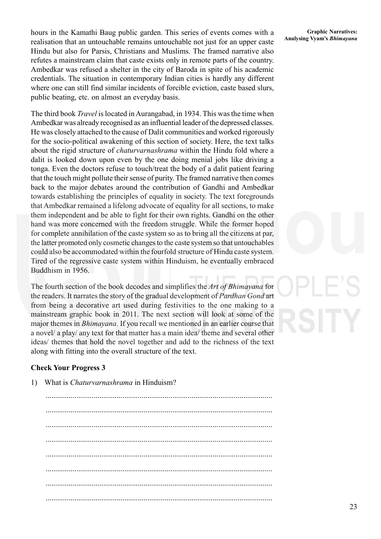hours in the Kamathi Baug public garden. This series of events comes with a Graphic Narratives:<br> **Analysing Vyam's Bhimayana**<br> **Analysing Vyam's Bhimayana** realisation that an untouchable remains untouchable not just for an upper caste Hindu but also for Parsis, Christians and Muslims. The framed narrative also refutes a mainstream claim that caste exists only in remote parts of the country. Ambedkar was refused a shelter in the city of Baroda in spite of his academic credentials. The situation in contemporary Indian cities is hardly any different where one can still find similar incidents of forcible eviction, caste based slurs, public beating, etc. on almost an everyday basis.

The third book *Travel* is located in Aurangabad, in 1934. This was the time when Ambedkar was already recognised as an influential leader of the depressed classes. He was closely attached to the cause of Dalit communities and worked rigorously for the socio-political awakening of this section of society. Here, the text talks about the rigid structure of *chaturvarnashrama* within the Hindu fold where a dalit is looked down upon even by the one doing menial jobs like driving a tonga. Even the doctors refuse to touch/treat the body of a dalit patient fearing that the touch might pollute their sense of purity. The framed narrative then comes back to the major debates around the contribution of Gandhi and Ambedkar towards establishing the principles of equality in society. The text foregrounds that Ambedkar remained a lifelong advocate of equality for all sections, to make them independent and be able to fight for their own rights. Gandhi on the other hand was more concerned with the freedom struggle. While the former hoped for complete annihilation of the caste system so as to bring all the citizens at par, the latter promoted only cosmetic changes to the caste system so that untouchables could also be accommodated within the fourfold structure of Hindu caste system. Tired of the regressive caste system within Hinduism, he eventually embraced Buddhism in 1956.

The fourth section of the book decodes and simplifies the *Art of Bhimayana* for the readers. It narrates the story of the gradual development of *Pardhan Gond* art from being a decorative art used during festivities to the one making to a mainstream graphic book in 2011. The next section will look at some of the major themes in *Bhimayana*. If you recall we mentioned in an earlier course that a novel/ a play/ any text for that matter has a main idea/ theme and several other ideas/ themes that hold the novel together and add to the richness of the text along with fitting into the overall structure of the text.

#### **Check Your Progress 3**

1) What is *Chaturvarnashrama* in Hinduism?

...................................................................................................................... ...................................................................................................................... ...................................................................................................................... ...................................................................................................................... ...................................................................................................................... ...................................................................................................................... ...................................................................................................................... ......................................................................................................................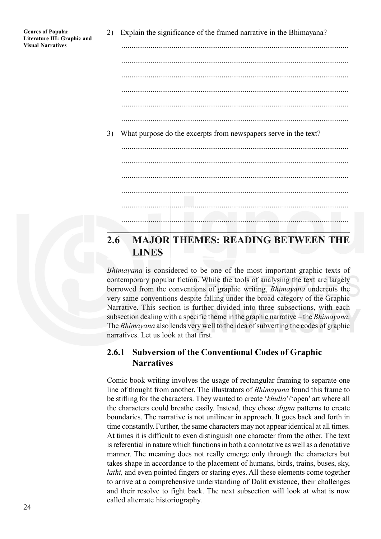| <b>Genres of Popular</b>    |
|-----------------------------|
| Literature III: Graphic and |
| <b>Visual Narratives</b>    |

2) Explain the significance of the framed narrative in the Bhimayana?

...................................................................................................................... ...................................................................................................................... ...................................................................................................................... ...................................................................................................................... ...................................................................................................................... ...................................................................................................................... 3) What purpose do the excerpts from newspapers serve in the text? ...................................................................................................................... ...................................................................................................................... ...................................................................................................................... ...................................................................................................................... ...................................................................................................................... **2.6 MAJOR THEMES: READING BETWEEN THE LINES**

*Bhimayana* is considered to be one of the most important graphic texts of contemporary popular fiction. While the tools of analysing the text are largely borrowed from the conventions of graphic writing, *Bhimayana* undercuts the very same conventions despite falling under the broad category of the Graphic Narrative. This section is further divided into three subsections, with each subsection dealing with a specific theme in the graphic narrative – the *Bhimayana*. The *Bhimayana* also lends very well to the idea of subverting the codes of graphic narratives. Let us look at that first.

#### **2.6.1 Subversion of the Conventional Codes of Graphic Narratives**

Comic book writing involves the usage of rectangular framing to separate one line of thought from another. The illustrators of *Bhimayana* found this frame to be stifling for the characters. They wanted to create '*khulla*'/'open' art where all the characters could breathe easily. Instead, they chose *digna* patterns to create boundaries. The narrative is not unilinear in approach. It goes back and forth in time constantly. Further, the same characters may not appear identical at all times. At times it is difficult to even distinguish one character from the other. The text is referential in nature which functions in both a connotative as well as a denotative manner. The meaning does not really emerge only through the characters but takes shape in accordance to the placement of humans, birds, trains, buses, sky, *lathi*, and even pointed fingers or staring eyes. All these elements come together to arrive at a comprehensive understanding of Dalit existence, their challenges and their resolve to fight back. The next subsection will look at what is now called alternate historiography.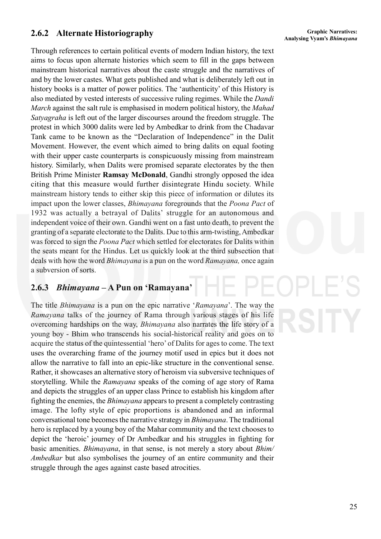# **Analysing Vyam's** *Bhimayana* **2.6.2 Alternate Historiography**

Through references to certain political events of modern Indian history, the text aims to focus upon alternate histories which seem to fill in the gaps between mainstream historical narratives about the caste struggle and the narratives of and by the lower castes. What gets published and what is deliberately left out in history books is a matter of power politics. The 'authenticity' of this History is also mediated by vested interests of successive ruling regimes. While the *Dandi March* against the salt rule is emphasised in modern political history, the *Mahad Satyagraha* is left out of the larger discourses around the freedom struggle. The protest in which 3000 dalits were led by Ambedkar to drink from the Chadavar Tank came to be known as the "Declaration of Independence" in the Dalit Movement. However, the event which aimed to bring dalits on equal footing with their upper caste counterparts is conspicuously missing from mainstream history. Similarly, when Dalits were promised separate electorates by the then British Prime Minister **Ramsay McDonald**, Gandhi strongly opposed the idea citing that this measure would further disintegrate Hindu society. While mainstream history tends to either skip this piece of information or dilutes its impact upon the lower classes, *Bhimayana* foregrounds that the *Poona Pact* of 1932 was actually a betrayal of Dalits' struggle for an autonomous and independent voice of their own. Gandhi went on a fast unto death, to prevent the granting of a separate electorate to the Dalits. Due to this arm-twisting, Ambedkar was forced to sign the *Poona Pact* which settled for electorates for Dalits within the seats meant for the Hindus. Let us quickly look at the third subsection that deals with how the word *Bhimayana* is a pun on the word *Ramayana,* once again a subversion of sorts.

## **2.6.3** *Bhimayana* **– A Pun on 'Ramayana'**

The title *Bhimayana* is a pun on the epic narrative '*Ramayana*'. The way the *Ramayana* talks of the journey of Rama through various stages of his life overcoming hardships on the way, *Bhimayana* also narrates the life story of a young boy - Bhim who transcends his social-historical reality and goes on to acquire the status of the quintessential 'hero' of Dalits for ages to come. The text uses the overarching frame of the journey motif used in epics but it does not allow the narrative to fall into an epic-like structure in the conventional sense. Rather, it showcases an alternative story of heroism via subversive techniques of storytelling. While the *Ramayana* speaks of the coming of age story of Rama and depicts the struggles of an upper class Prince to establish his kingdom after fighting the enemies, the *Bhimayana* appears to present a completely contrasting image. The lofty style of epic proportions is abandoned and an informal conversational tone becomes the narrative strategy in *Bhimayana*. The traditional hero is replaced by a young boy of the Mahar community and the text chooses to depict the 'heroic' journey of Dr Ambedkar and his struggles in fighting for basic amenities. *Bhimayana*, in that sense, is not merely a story about *Bhim/ Ambedkar* but also symbolises the journey of an entire community and their struggle through the ages against caste based atrocities.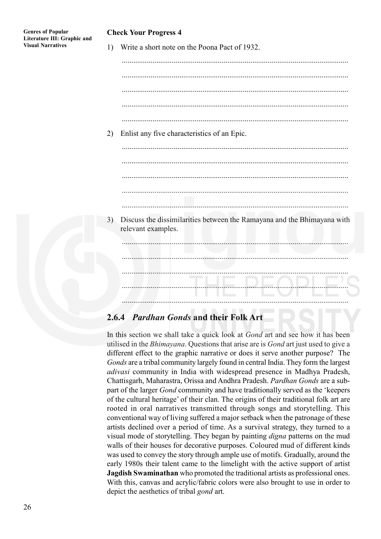#### **Check Your Progress 4**

1) Write a short note on the Poona Pact of 1932.

...................................................................................................................... ...................................................................................................................... ...................................................................................................................... ...................................................................................................................... ...................................................................................................................... 2) Enlist any five characteristics of an Epic. ...................................................................................................................... ...................................................................................................................... 3) Discuss the dissimilarities between the Ramayana and the Bhimayana with relevant examples. ...................................................................................................................... ...................................................................................................................... ...................................................................................................................... ...................................................................................................................... ......................................................................................................................

## **2.6.4** *Pardhan Gonds* **and their Folk Art**

In this section we shall take a quick look at *Gond* art and see how it has been utilised in the *Bhimayana*. Questions that arise are is *Gond* art just used to give a different effect to the graphic narrative or does it serve another purpose? The *Gonds* are a tribal community largely found in central India. They form the largest *adivasi* community in India with widespread presence in Madhya Pradesh, Chattisgarh, Maharastra, Orissa and Andhra Pradesh. *Pardhan Gonds* are a subpart of the larger *Gond* community and have traditionally served as the 'keepers of the cultural heritage' of their clan. The origins of their traditional folk art are rooted in oral narratives transmitted through songs and storytelling. This conventional way of living suffered a major setback when the patronage of these artists declined over a period of time. As a survival strategy, they turned to a visual mode of storytelling. They began by painting *digna* patterns on the mud walls of their houses for decorative purposes. Coloured mud of different kinds was used to convey the story through ample use of motifs. Gradually, around the early 1980s their talent came to the limelight with the active support of artist **Jagdish Swaminathan** who promoted the traditional artists as professional ones. With this, canvas and acrylic/fabric colors were also brought to use in order to depict the aesthetics of tribal *gond* art.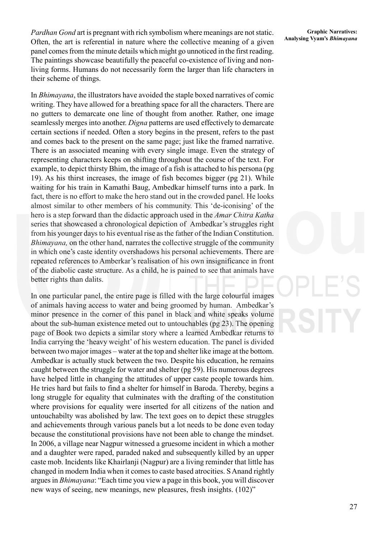*Pardhan Gond* art is pregnant with rich symbolism where meanings are not static. Often, the art is referential in nature where the collective meaning of a given panel comes from the minute details which might go unnoticed in the first reading. The paintings showcase beautifully the peaceful co-existence of living and nonliving forms. Humans do not necessarily form the larger than life characters in their scheme of things.

In *Bhimayana*, the illustrators have avoided the staple boxed narratives of comic writing. They have allowed for a breathing space for all the characters. There are no gutters to demarcate one line of thought from another. Rather, one image seamlessly merges into another. *Digna* patterns are used effectively to demarcate certain sections if needed. Often a story begins in the present, refers to the past and comes back to the present on the same page; just like the framed narrative. There is an associated meaning with every single image. Even the strategy of representing characters keeps on shifting throughout the course of the text. For example, to depict thirsty Bhim, the image of a fish is attached to his persona (pg 19). As his thirst increases, the image of fish becomes bigger (pg 21). While waiting for his train in Kamathi Baug, Ambedkar himself turns into a park. In fact, there is no effort to make the hero stand out in the crowded panel. He looks almost similar to other members of his community. This 'de-iconising' of the hero is a step forward than the didactic approach used in the *Amar Chitra Katha* series that showcased a chronological depiction of Ambedkar's struggles right from his younger days to his eventual rise as the father of the Indian Constitution. *Bhimayana*, on the other hand, narrates the collective struggle of the community in which one's caste identity overshadows his personal achievements. There are repeated references to Amberkar's realisation of his own insignificance in front of the diabolic caste structure. As a child, he is pained to see that animals have better rights than dalits.

In one particular panel, the entire page is filled with the large colourful images of animals having access to water and being groomed by human. Ambedkar's minor presence in the corner of this panel in black and white speaks volume about the sub-human existence meted out to untouchables (pg 23). The opening page of Book two depicts a similar story where a learned Ambedkar returns to India carrying the 'heavy weight' of his western education. The panel is divided between two major images – water at the top and shelter like image at the bottom. Ambedkar is actually stuck between the two. Despite his education, he remains caught between the struggle for water and shelter (pg 59). His numerous degrees have helped little in changing the attitudes of upper caste people towards him. He tries hard but fails to find a shelter for himself in Baroda. Thereby, begins a long struggle for equality that culminates with the drafting of the constitution where provisions for equality were inserted for all citizens of the nation and untouchabilty was abolished by law. The text goes on to depict these struggles and achievements through various panels but a lot needs to be done even today because the constitutional provisions have not been able to change the mindset. In 2006, a village near Nagpur witnessed a gruesome incident in which a mother and a daughter were raped, paraded naked and subsequently killed by an upper caste mob. Incidents like Khairlanji (Nagpur) are a living reminder that little has changed in modern India when it comes to caste based atrocities. S Anand rightly argues in *Bhimayana*: "Each time you view a page in this book, you will discover new ways of seeing, new meanings, new pleasures, fresh insights. (102)"

27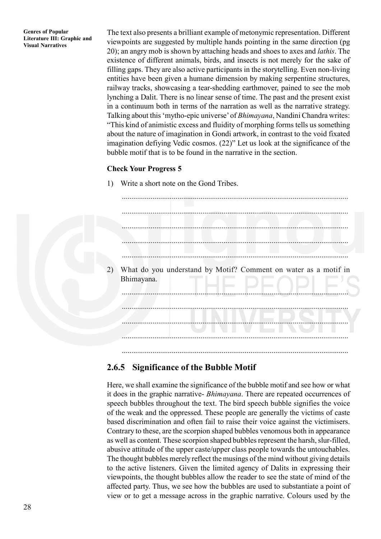**Genres of Popular Literature III: Graphic and Visual Narratives**

The text also presents a brilliant example of metonymic representation. Different viewpoints are suggested by multiple hands pointing in the same direction (pg 20); an angry mob is shown by attaching heads and shoes to axes and *lathis*. The existence of different animals, birds, and insects is not merely for the sake of filling gaps. They are also active participants in the storytelling. Even non-living entities have been given a humane dimension by making serpentine structures, railway tracks, showcasing a tear-shedding earthmover, pained to see the mob lynching a Dalit. There is no linear sense of time. The past and the present exist in a continuum both in terms of the narration as well as the narrative strategy. Talking about this 'mytho-epic universe' of *Bhimayana*, Nandini Chandra writes: "This kind of animistic excess and fluidity of morphing forms tells us something about the nature of imagination in Gondi artwork, in contrast to the void fixated imagination defiying Vedic cosmos. (22)" Let us look at the significance of the bubble motif that is to be found in the narrative in the section.

#### **Check Your Progress 5**

1) Write a short note on the Gond Tribes.

...................................................................................................................... ...................................................................................................................... ...................................................................................................................... ...................................................................................................................... ...................................................................................................................... 2) What do you understand by Motif? Comment on water as a motif in Bhimayana. ...................................................................................................................... ...................................................................................................................... ...................................................................................................................... ...................................................................................................................... ......................................................................................................................

### **2.6.5 Significance of the Bubble Motif**

Here, we shall examine the significance of the bubble motif and see how or what it does in the graphic narrative- *Bhimayana*. There are repeated occurrences of speech bubbles throughout the text. The bird speech bubble signifies the voice of the weak and the oppressed. These people are generally the victims of caste based discrimination and often fail to raise their voice against the victimisers. Contrary to these, are the scorpion shaped bubbles venomous both in appearance as well as content. These scorpion shaped bubbles represent the harsh, slur-filled, abusive attitude of the upper caste/upper class people towards the untouchables. The thought bubbles merely reflect the musings of the mind without giving details to the active listeners. Given the limited agency of Dalits in expressing their viewpoints, the thought bubbles allow the reader to see the state of mind of the affected party. Thus, we see how the bubbles are used to substantiate a point of view or to get a message across in the graphic narrative. Colours used by the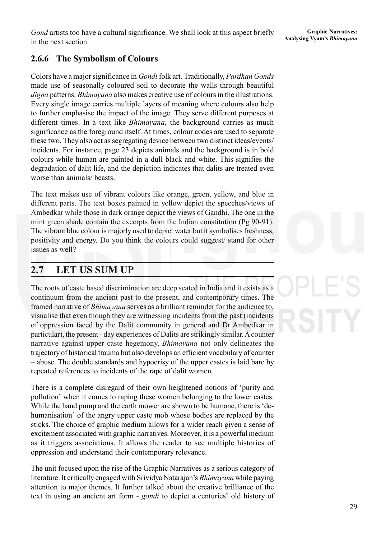## **2.6.6 The Symbolism of Colours**

Colors have a major significance in *Gondi* folk art. Traditionally, *Pardhan Gonds* made use of seasonally coloured soil to decorate the walls through beautiful *digna* patterns. *Bhimayana* also makes creative use of colours in the illustrations. Every single image carries multiple layers of meaning where colours also help to further emphasise the impact of the image. They serve different purposes at different times. In a text like *Bhimayana*, the background carries as much significance as the foreground itself. At times, colour codes are used to separate these two. They also act as segregating device between two distinct ideas/events/ incidents. For instance, page 23 depicts animals and the background is in bold colours while human are painted in a dull black and white. This signifies the degradation of dalit life, and the depiction indicates that dalits are treated even worse than animals/ beasts.

The text makes use of vibrant colours like orange, green, yellow, and blue in different parts. The text boxes painted in yellow depict the speeches/views of Ambedkar while those in dark orange depict the views of Gandhi. The one in the mint green shade contain the excerpts from the Indian constitution (Pg 90-91). The vibrant blue colour is majorly used to depict water but it symbolises freshness, positivity and energy. Do you think the colours could suggest/ stand for other issues as well?

## **2.7 LET US SUM UP**

The roots of caste based discrimination are deep seated in India and it exists as a continuum from the ancient past to the present, and contemporary times. The framed narrative of *Bhimayana* serves as a brilliant reminder for the audience to, visualise that even though they are witnessing incidents from the past (incidents of oppression faced by the Dalit community in general and Dr Ambedkar in particular), the present - day experiences of Dalits are strikingly similar. A counter narrative against upper caste hegemony, *Bhimayana* not only delineates the trajectory of historical trauma but also develops an efficient vocabulary of counter – abuse. The double standards and hypocrisy of the upper castes is laid bare by repeated references to incidents of the rape of dalit women.

There is a complete disregard of their own heightened notions of 'purity and pollution' when it comes to raping these women belonging to the lower castes. While the hand pump and the earth mower are shown to be humane, there is 'dehumanisation' of the angry upper caste mob whose bodies are replaced by the sticks. The choice of graphic medium allows for a wider reach given a sense of excitement associated with graphic narratives. Moreover, it is a powerful medium as it triggers associations. It allows the reader to see multiple histories of oppression and understand their contemporary relevance.

The unit focused upon the rise of the Graphic Narratives as a serious category of literature. It critically engaged with Srividya Natarajan's *Bhimayana* while paying attention to major themes. It further talked about the creative brilliance of the text in using an ancient art form - *gondi* to depict a centuries' old history of

#### **Graphic Narratives: Analysing Vyam's** *Bhimayana*

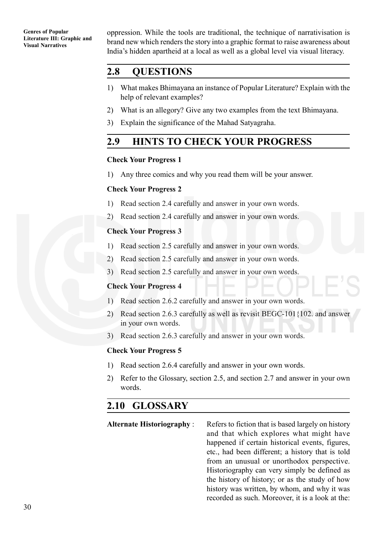**Genres of Popular Literature III: Graphic and Visual Narratives**

oppression. While the tools are traditional, the technique of narrativisation is brand new which renders the story into a graphic format to raise awareness about India's hidden apartheid at a local as well as a global level via visual literacy.

## **2.8 QUESTIONS**

- 1) What makes Bhimayana an instance of Popular Literature? Explain with the help of relevant examples?
- 2) What is an allegory? Give any two examples from the text Bhimayana.
- 3) Explain the significance of the Mahad Satyagraha.

## **2.9 HINTS TO CHECK YOUR PROGRESS**

#### **Check Your Progress 1**

1) Any three comics and why you read them will be your answer.

#### **Check Your Progress 2**

- 1) Read section 2.4 carefully and answer in your own words.
- 2) Read section 2.4 carefully and answer in your own words.

#### **Check Your Progress 3**

- 1) Read section 2.5 carefully and answer in your own words.
- 2) Read section 2.5 carefully and answer in your own words.
- 3) Read section 2.5 carefully and answer in your own words.

#### **Check Your Progress 4**

- 1) Read section 2.6.2 carefully and answer in your own words.
- 2) Read section 2.6.3 carefully as well as revisit BEGC-101{102. and answer in your own words.
- 3) Read section 2.6.3 carefully and answer in your own words.

#### **Check Your Progress 5**

- 1) Read section 2.6.4 carefully and answer in your own words.
- 2) Refer to the Glossary, section 2.5, and section 2.7 and answer in your own words.

## **2.10 GLOSSARY**

**Alternate Historiography** : Refers to fiction that is based largely on history and that which explores what might have happened if certain historical events, figures, etc., had been different; a history that is told from an unusual or unorthodox perspective. Historiography can very simply be defined as the history of history; or as the study of how history was written, by whom, and why it was recorded as such. Moreover, it is a look at the: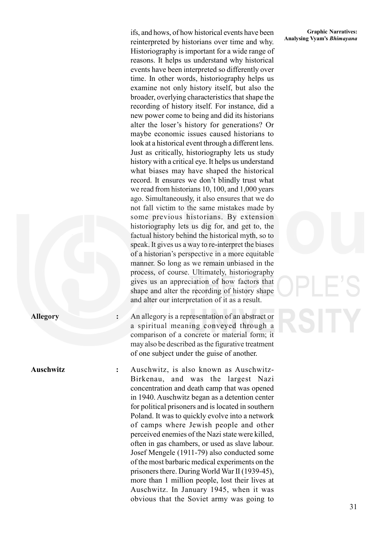ifs, and hows, of how historical events have been reinterpreted by historians over time and why. Historiography is important for a wide range of reasons. It helps us understand why historical events have been interpreted so differently over time. In other words, historiography helps us examine not only history itself, but also the broader, overlying characteristics that shape the recording of history itself. For instance, did a new power come to being and did its historians alter the loser's history for generations? Or maybe economic issues caused historians to look at a historical event through a different lens. Just as critically, historiography lets us study history with a critical eye. It helps us understand what biases may have shaped the historical record. It ensures we don't blindly trust what we read from historians 10, 100, and 1,000 years ago. Simultaneously, it also ensures that we do not fall victim to the same mistakes made by some previous historians. By extension historiography lets us dig for, and get to, the factual history behind the historical myth, so to speak. It gives us a way to re-interpret the biases of a historian's perspective in a more equitable manner. So long as we remain unbiased in the process, of course. Ultimately, historiography gives us an appreciation of how factors that shape and alter the recording of history shape and alter our interpretation of it as a result.

**Allegory :** An allegory is a representation of an abstract or a spiritual meaning conveyed through a comparison of a concrete or material form; it may also be described as the figurative treatment of one subject under the guise of another.

**Auschwitz :** Auschwitz, is also known as Auschwitz-Birkenau, and was the largest Nazi concentration and death camp that was opened in 1940. Auschwitz began as a detention center for political prisoners and is located in southern Poland. It was to quickly evolve into a network of camps where Jewish people and other perceived enemies of the Nazi state were killed, often in gas chambers, or used as slave labour. Josef Mengele (1911-79) also conducted some of the most barbaric medical experiments on the prisoners there. During World War II (1939-45), more than 1 million people, lost their lives at Auschwitz. In January 1945, when it was obvious that the Soviet army was going to

#### **Graphic Narratives: Analysing Vyam's** *Bhimayana*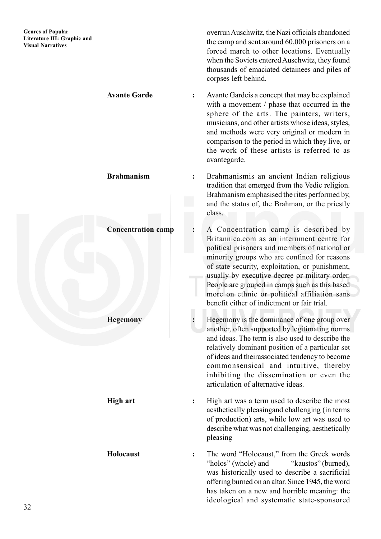overrun Auschwitz, the Nazi officials abandoned the camp and sent around 60,000 prisoners on a forced march to other locations. Eventually when the Soviets entered Auschwitz, they found thousands of emaciated detainees and piles of corpses left behind.

**Avante Garde :** Avante Gardeis a concept that may be explained with a movement / phase that occurred in the sphere of the arts. The painters, writers, musicians, and other artists whose ideas, styles, and methods were very original or modern in comparison to the period in which they live, or the work of these artists is referred to as avantegarde.

**Brahmanism :** Brahmanismis an ancient Indian religious tradition that emerged from the Vedic religion. Brahmanism emphasised the rites performed by, and the status of, the Brahman, or the priestly class.

**Concentration camp :** A Concentration camp is described by Britannica.com as an internment centre for political prisoners and members of national or minority groups who are confined for reasons of state security, exploitation, or punishment, usually by executive decree or military order. People are grouped in camps such as this based more on ethnic or political affiliation sans benefit either of indictment or fair trial.

**Hegemony :** Hegemony is the dominance of one group over another, often supported by legitimating norms and ideas. The term is also used to describe the relatively dominant position of a particular set of ideas and theirassociated tendency to become commonsensical and intuitive, thereby inhibiting the dissemination or even the articulation of alternative ideas.

**High art :** High art was a term used to describe the most aesthetically pleasingand challenging (in terms of production) arts, while low art was used to describe what was not challenging, aesthetically pleasing

**Holocaust :** The word "Holocaust," from the Greek words "holos" (whole) and "kaustos" (burned), was historically used to describe a sacrificial offering burned on an altar. Since 1945, the word has taken on a new and horrible meaning: the ideological and systematic state-sponsored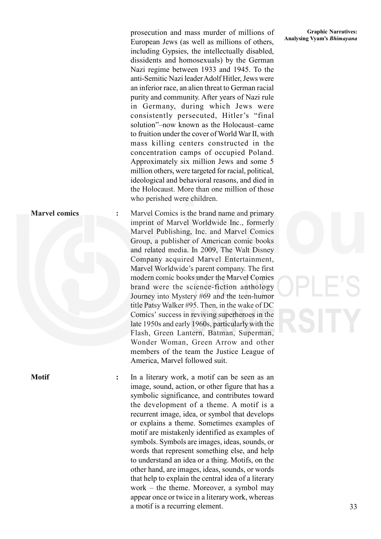prosecution and mass murder of millions of *Analysing Vyam's Bhimayana* prosecution and mass murder of millions of athens European Jews (as well as millions of others, including Gypsies, the intellectually disabled, dissidents and homosexuals) by the German Nazi regime between 1933 and 1945. To the anti-Semitic Nazi leader Adolf Hitler, Jews were an inferior race, an alien threat to German racial purity and community. After years of Nazi rule in Germany, during which Jews were consistently persecuted, Hitler's "final solution"–now known as the Holocaust–came to fruition under the cover of World War II, with mass killing centers constructed in the concentration camps of occupied Poland. Approximately six million Jews and some 5 million others, were targeted for racial, political, ideological and behavioral reasons, and died in the Holocaust. More than one million of those who perished were children.

**Marvel comics** : Marvel Comics is the brand name and primary imprint of Marvel Worldwide Inc., formerly Marvel Publishing, Inc. and Marvel Comics Group, a publisher of American comic books and related media. In 2009, The Walt Disney Company acquired Marvel Entertainment, Marvel Worldwide's parent company. The first modern comic books under the Marvel Comics brand were the science-fiction anthology Journey into Mystery #69 and the teen-humor title Patsy Walker #95. Then, in the wake of DC Comics' success in reviving superheroes in the late 1950s and early 1960s, particularly with the Flash, Green Lantern, Batman, Superman, Wonder Woman, Green Arrow and other members of the team the Justice League of America, Marvel followed suit.

**Motif :** In a literary work, a motif can be seen as an image, sound, action, or other figure that has a symbolic significance, and contributes toward the development of a theme. A motif is a recurrent image, idea, or symbol that develops or explains a theme. Sometimes examples of motif are mistakenly identified as examples of symbols. Symbols are images, ideas, sounds, or words that represent something else, and help to understand an idea or a thing. Motifs, on the other hand, are images, ideas, sounds, or words that help to explain the central idea of a literary work – the theme. Moreover, a symbol may appear once or twice in a literary work, whereas a motif is a recurring element.

# **Graphic Narratives:**